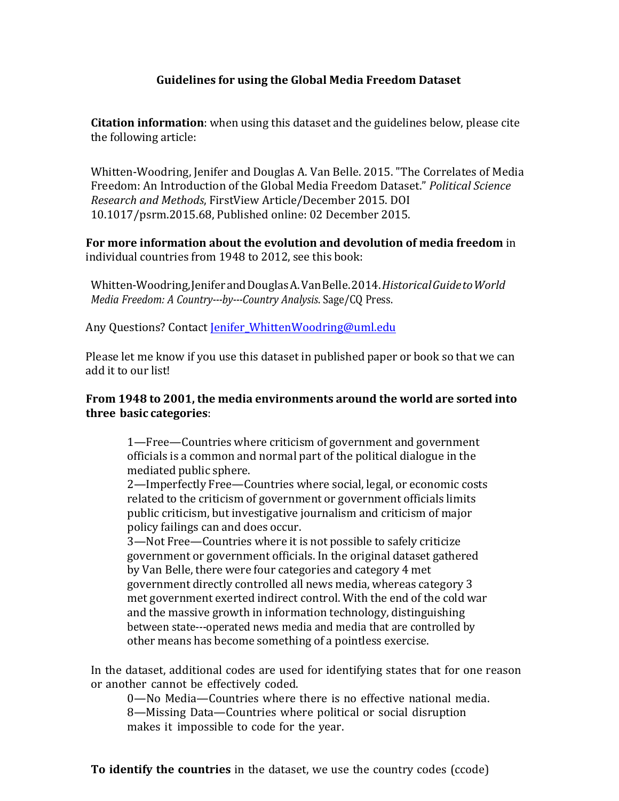## **Guidelines for using the Global Media Freedom Dataset**

**Citation information**: when using this dataset and the guidelines below, please cite the following article:

Whitten-Woodring, Jenifer and Douglas A. Van Belle. 2015. "The Correlates of Media Freedom: An Introduction of the Global Media Freedom Dataset." Political Science *Research and Methods*, FirstView Article/December 2015. DOI 10.1017/psrm.2015.68, Published online: 02 December 2015.

**For more information about the evolution and devolution of media freedom** in individual countries from 1948 to 2012, see this book:

Whitten-Woodring,JeniferandDouglasA.VanBelle.2014.*HistoricalGuidetoWorld Media Freedom: A Country---by---Country Analysis*. Sage/CQ Press.

Any Questions? Contact Jenifer WhittenWoodring@uml.edu

Please let me know if you use this dataset in published paper or book so that we can add it to our list!

## **From 1948 to 2001, the media environments around the world are sorted into three basic categories**:

1—Free—Countries where criticism of government and government officials is a common and normal part of the political dialogue in the mediated public sphere.

2—Imperfectly Free—Countries where social, legal, or economic costs related to the criticism of government or government officials limits public criticism, but investigative journalism and criticism of major policy failings can and does occur.

3—Not Free—Countries where it is not possible to safely criticize government or government officials. In the original dataset gathered by Van Belle, there were four categories and category 4 met government directly controlled all news media, whereas category 3 met government exerted indirect control. With the end of the cold war and the massive growth in information technology, distinguishing between state---operated news media and media that are controlled by other means has become something of a pointless exercise.

In the dataset, additional codes are used for identifying states that for one reason or another cannot be effectively coded.

0—No Media—Countries where there is no effective national media. 8—Missing Data—Countries where political or social disruption makes it impossible to code for the year.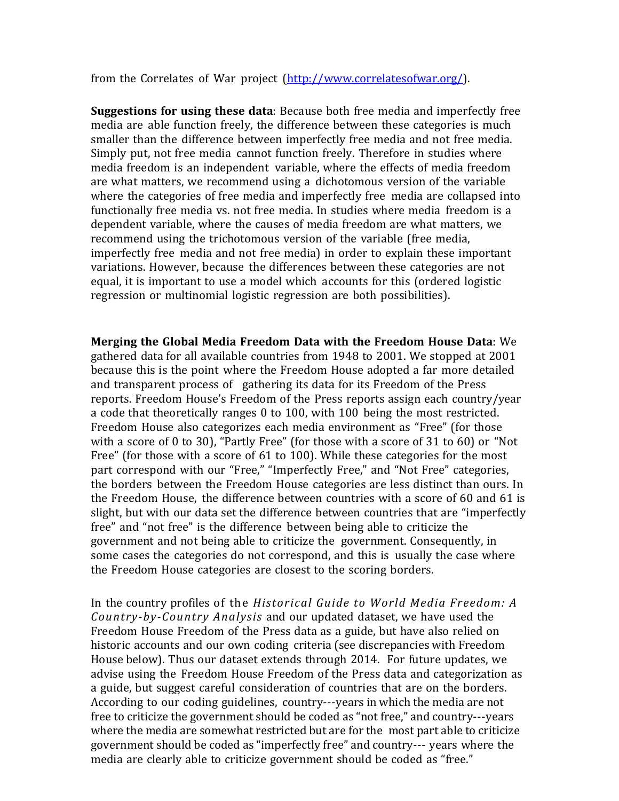from the Correlates of War project (http://www.correlatesofwar.org/).

**Suggestions for using these data**: Because both free media and imperfectly free media are able function freely, the difference between these categories is much smaller than the difference between imperfectly free media and not free media. Simply put, not free media cannot function freely. Therefore in studies where media freedom is an independent variable, where the effects of media freedom are what matters, we recommend using a dichotomous version of the variable where the categories of free media and imperfectly free media are collapsed into functionally free media vs. not free media. In studies where media freedom is a dependent variable, where the causes of media freedom are what matters, we recommend using the trichotomous version of the variable (free media, imperfectly free media and not free media) in order to explain these important variations. However, because the differences between these categories are not equal, it is important to use a model which accounts for this (ordered logistic regression or multinomial logistic regression are both possibilities).

**Merging the Global Media Freedom Data with the Freedom House Data**: We gathered data for all available countries from 1948 to 2001. We stopped at 2001 because this is the point where the Freedom House adopted a far more detailed and transparent process of gathering its data for its Freedom of the Press reports. Freedom House's Freedom of the Press reports assign each country/year a code that theoretically ranges 0 to 100, with 100 being the most restricted. Freedom House also categorizes each media environment as "Free" (for those with a score of 0 to 30), "Partly Free" (for those with a score of 31 to 60) or "Not Free" (for those with a score of 61 to 100). While these categories for the most part correspond with our "Free," "Imperfectly Free," and "Not Free" categories, the borders between the Freedom House categories are less distinct than ours. In the Freedom House, the difference between countries with a score of 60 and 61 is slight, but with our data set the difference between countries that are "imperfectly free" and "not free" is the difference between being able to criticize the government and not being able to criticize the government. Consequently, in some cases the categories do not correspond, and this is usually the case where the Freedom House categories are closest to the scoring borders. 

In the country profiles of the *Historical Guide to World Media Freedom: A Country-by-Country Analysis* and our updated dataset, we have used the Freedom House Freedom of the Press data as a guide, but have also relied on historic accounts and our own coding criteria (see discrepancies with Freedom House below). Thus our dataset extends through 2014. For future updates, we advise using the Freedom House Freedom of the Press data and categorization as a guide, but suggest careful consideration of countries that are on the borders. According to our coding guidelines, country---years in which the media are not free to criticize the government should be coded as "not free," and country---years where the media are somewhat restricted but are for the most part able to criticize government should be coded as "imperfectly free" and country--- years where the media are clearly able to criticize government should be coded as "free."